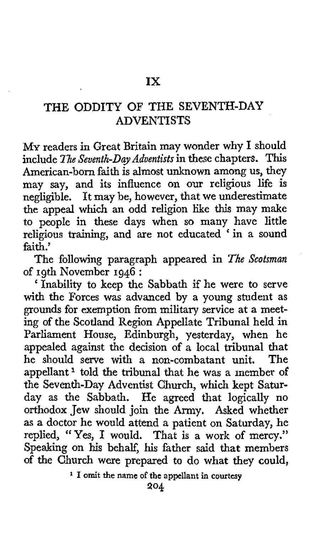**MY** readers in Great Britain may wonder why I should include *The Seventh-Day Adventists* in these chapters. This American-born faith is almost unknown among us, they may say, and its influence on our religious life is negligible. It may be, however, that we underestimate the appeal which an odd religion like this may make to people in these days when so many have little religious training, and are not educated ' in a sound faith.'

The following paragraph appeared in *The Scotsman*  of 19th November 1946 :

Inability to keep the Sabbath if he were to serve with the Forces was advanced by a young student as grounds for exemption from military service at a meeting of the Scotland Region Appellate Tribunal held in Parliament House, Edinburgh, yesterday, when he appealed against the decision of a local tribunal that<br>he should serve with a non-combatant unit. The he should serve with a non-combatant unit. appellant<sup>1</sup> told the tribunal that he was a member of the Seventh-Day Adventist Church, which kept Saturday as the Sabbath. He agreed that logically no orthodox Jew should join the Army. Asked whether as a doctor he would attend a patient on Saturday, he replied, "Yes, **I** would. That is a work of mercy." Speaking on his behalf, his father **said** that members of the Church were prepared to do what they could,

**I omit the name of the appellant in courtesy**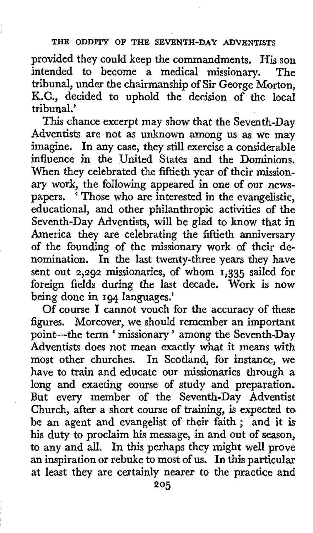provided they could keep the commandments. His son<br>intended to become a medical missionary. The intended to become a medical missionary. tribunal, under the chairmanship of *Sir* George Morton, K.C., decided to uphold the decision of the local tribunal.'

This chance excerpt may show that the Seventh-Day Adventists are not as unknown among us as we may imagine. In any case, they still exercise a considerable influence in the United States and the Dominions. When they celebrated the fiftieth year of their missionary work, the following appeared in one of *our* newspapers. < Those who are interested in the evangelistic, educational, and other philanthropic activities of the Seventh-Day Adventists, will be glad to know that in America they are celebrating the fiftieth anniversary of the founding of the missionary work **of** their de-In the last twenty-three years they have sent out **2,292** missionaries, of whom **1,335** sailed for foreign fields during the last decade. Work is now being done in **194** languages.'

Of course I cannot vouch for the accuracy of these figures. Moreover, we should remember an important point---the term ' missionary' among the Seventh-Day Adventists does not mean exactly what it means with most other churches. In Scotland, for instance, we In Scotland, for instance, we have to train and educate our missionaries through a long and exacting course of study and preparation. But every member of the Seventh-Day Adventist Church, after a short course of training, is expected **to**  be an agent and evangelist of their faith ; and it is his duty to proclaim his message, in and **out** of season, to any and all, In this perhaps they might well prove an inspiration or rebuke to most of **us. In** this particular at least they are certainly nearer **to** the practice and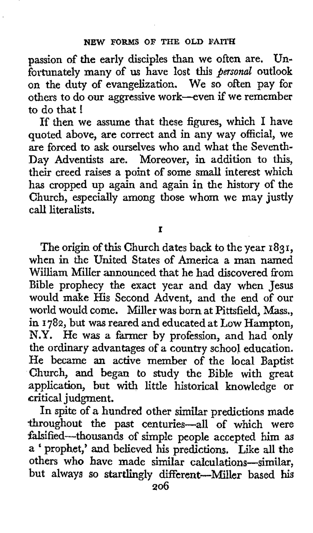passion of the early disciples than we often are. Unfortunately many of **us** have lost this *personal* outlook on the duty **of** evangelization. We so often pay for others to do our aggressive work-even if we remember to do that !

If then we assume that these figures, which I have quoted above, are correct and in any way official, we are forced to ask ourselves who and what the Seventh-Day Adventists are. Moreover, in addition to this, their creed raises a point of some small interest which has cropped up again and again in the history of the Church, especially among those whom **we** may justly call literalists.

**I** 

The origin of this Church dates back to the year **1831,**  when in the United States of America a man named William Miller announced that he had discovered from Bible prophecy the exact year and day when Jesus would make His Second Advent, and the end of our world would come. Miller was born at Pittsfield, Mass., in **I 782,** but **was** reared and educated at Low Hampton, **N.Y. He** was *a* farmer by profession, and had only the ordinary advantages of a country school education. He became **an** active member of the local Baptist Church, and began to study the Bible with great application, but with little historical knowledge or (critical judgment.

In spite of a hundred other similar predictions made throughout the past centuries-all of which were falsified-thousands of simple people accepted him as *<sup>a</sup>*' prophet,' and believed his predictions. Like all the others who have made similar calculations-similar but always **so** startlingly different-Miller based **his**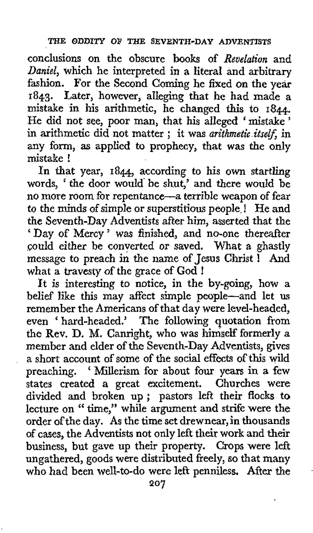conclusions on the obscure books of *Revelation* and *Daniel,* which he interpreted in a literal and arbitrary fashion. For the Second Coming he fixed on the year **1843.** Later, however, alleging that he had made a mistake in his arithmetic, he changed this to **1844.**  He did not see, poor man, that his alleged 'mistake' in arithmetic did not matter ; it was *arithmetic itself,* in any form, **as** applied to prophecy, that was the only mistake !

In that year, **1844,** according to his own startling words, ' the door would' be shut,' and there would be no more room for repentance-a terrible weapon of fear to the minds of simple or superstitious people. He and the Seventh-Day Adventists after him, asserted that the 'Day of Mercy' was finished, and no-one thereafter could either be converted or saved. What a ghastly message to preach in the name of **Jesus** Christ ! And what a travesty of the grace of **God** !

It is interesting to notice, in the by-going, how **a**  belief like this may affect simple people-and let **us**  remember the Americans of that day were level-headed, even ' hard-headed.' The following quotation from the Rev. D. M. Canright, who was himself' formerly a member and elder of the Seventh-Day Adventists, gives a short account of some of the social effects of this wild preaching. ' Millerism for about four years in a few states created a great excitement. Churches were divided and broken up ; pastors left their flocks to lecture on " time," while argument and strife were the order of the day. **As** the time set drew near, in thousands of cases, the Adventists not only left their work and their business, but gave up their property. Crops were left ungathered, goods were distributed freely, **so** that many who had been well-to-do were left penniless. After **the**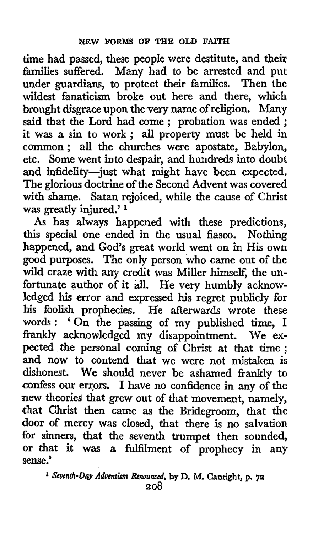time had passed, these people were destitute, and their families suffered. Many had to be arrested and put under guardians, to protect their families. Then the wildest fanaticism broke out here and there, which brought disgrace upon the very name of religion. Many said that the Lord had come ; probation was ended ; it was a sin to work ; all property must be held in common; all the churches were apostate, Babylon, etc. Some went into despair, and hundreds into doubt and infidelity-just what might have been expected. The glorious doctrine **of** the Second Advent was covered with shame. Satan rejoiced, while the cause of Christ was greatly injured.' **<sup>1</sup>**

**As** has always happened with these predictions, this special one ended in the usual fiasco. Nothing happened, and God's great world went on in His own good purposes. The only person who came out of the wild craze with any credit was Miller himself, the unfortunate author **of** it all. He very humbly acknowledged **his** error and expressed **his** regret publicly for his foolish prophecies. He afterwards wrote these ms footsit prophetics. The attention whole these<br>words : 'On the passing of my published time, I frankly acknowledged my disappointment. We ex-pected the personal coming **of** Christ at that time ; and now *to* contend that we were not mistaken is dishonest. **We** should never be ashamed frankly to confess our errors. I have no confidence in any of the new theories that grew out of that movement, namely, that Christ then came as the Bridegroom, that the **door of** mercy was closed, that there is no salvation **for** sinners, that the seventh trumpet then sounded, **or** that it was a fulfilment **of** prophecy in any sense.'

<sup>1</sup> Seventh-Day Adventism Renounced, by D. M. Canright, p. 72 **208**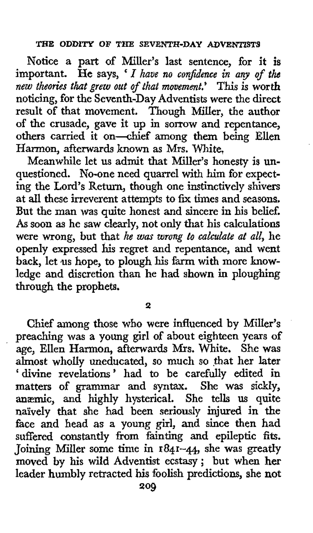Notice a part of Miller's last sentence, for it is important. He says, *I have no conjdence in any of the new theories that grew out oJrthat movement.'* This is worth noticing, for the Seventh-Day Adventists were the direct result of that movement. Though Miller, the author of the crusade, gave it up in sorrow and repentance, others carried it on-chief among them being Ellen Harmon, afterwards known as Mrs. White,

Meanwhile let **us** admit that Miller's honesty is unquestioned. No-one need quarrel with him for expecting the Lord's Return, though one instinctively shivers at all these irreverent attempts to fix times and seasons. But the man was quite honest and sincere in his belief. **As** soon **as** he saw clearly, not only that his calculations were wrong, but that *he wax wrong to calculate at all,* he openly expressed **his** regret and repentance, and went back, let us hope, to plough his farm with more knowledge and discretion than he had shown in ploughing through the prophets.

**2** 

Chief among those **who** were influenced by Miller's preaching was a young girl of about eighteen years of age, Ellen Harmon, afterwards **Mrs.** White. She was almost wholly uneducated, so much so \$hat her later ' divine revelations' had to be carefully edited in matters of grammar and syntax. She was sickly, **anzmic,** and highly hysterical. She tells **us** quite naively that she had been seriously injured in the face and head **as** a young girl, and since then had suffered constantly from fainting and epileptic **fits.**  Joining Miller some time in **1841-44,** she was greatly moved by his wild Adventist ecstasy; but when **her**  leader humbly retracted **his** foolish predictions, she not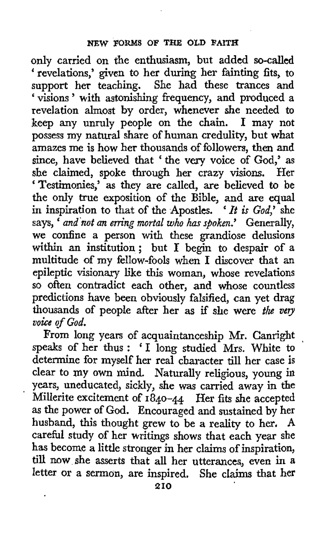only carried on the enthusiasm, but added so-called ' revelations,' given to her during her fainting fits, to support her teaching. She had these trances and ' visions ' with astonishing frequency, and produced a revelation almost by order, whenever she needed to keep any unruly people on the chain. I may not possess my natural share of human credulity, but what amazes me is how her thousands of followers, then and since, have believed that ' the very voice of God,' as **she** claimed, spoke through her crazy visions. Her 'Testimonies,' as they are called, are believed to be the only true exposition of the Bible, and are equal in inspiration to that of the Apostles. ' *It* is *God,'* she says, ' *and 'not an erring mortal who has spoken.'* Generally, we confine a person with these grandiose delusions within an institution; but I begin to despair of a multitude **of** my fellow-fools when I discover that an epileptic visionary like this woman, whose revelations so often contradict each other, and whose countless predictions have been obviously falsified, can yet drag thousands of people after her as **if** she were *the veu voice cf God.* 

From long years of acquaintanceship Mr. Canright speaks of her thus: ' I long studied Mrs. White to determine for myself her real character till her case is clear to **my own** mind. Naturally religious, young in years, uneducated, sickly, she was carried away in the ' Millerite excitement of **1840-44** Her **fits** she accepted as the power of God. Encouraged and sustained by her husband, this thought grew to be a reality to her. carefid study of her writings shows that each year she has become a little stronger in her claims of inspiration, till now she asserts that all her utterances, even in a letter or **a** sermon, are inspired. She claims that her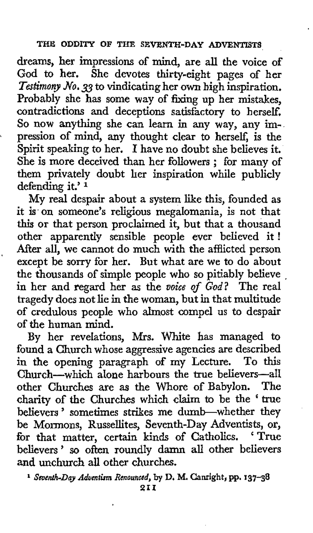dreams, her impressions of mind, are all the voice of God to her. She devotes thirty-eight pages of her *Testimony No.* 33 to vindicating her own high inspiration. Probably she has some way of fixing up her mistakes, contradictions and deceptions satisfactory to herself. So now anything she can learn in any way, any impression of mind, any thought clear to herself, is the Spirit speaking to her. **I** have no doubt she believes it. She is more deceived than her followers ; for many of them privately doubt her inspiration while publicly defending it.' **<sup>1</sup>**

My real despair about a system like this, founded as it is. on someone's religious megalomania, is not that this or that person proclaimed it, but that a thousand other apparently sensible people ever believed it ! After all, we cannot do much with the afflicted person except be sorry for her. But what are we to do about the thousands of simple people who so pitiably believe , in her and regard her as the *voice of God?* The real tragedy does not lie in the woman, but in that multitude of credulous people who almost compel us to despair **of** the human mind.

By her revelations, Mrs. White has managed to found a Church whose aggressive agencies are described in the opening paragraph of my Lecture. To this Church-which alone harbours the true believers-all other Churches are as the Whore of Babylon. The charity of the Churches which claim to be the 'true believers' sometimes strikes me dumb-whether they be Mormons, Russellites, Seventh-Day Adventists, or, for that matter, certain kinds of Catholics. 'True believers ' so often roundly damn **all** other believers and unchurch **all** other churches.

<sup>1</sup> Seventh-Day Adventism Renounced, by D. M. Canright, pp. 137-38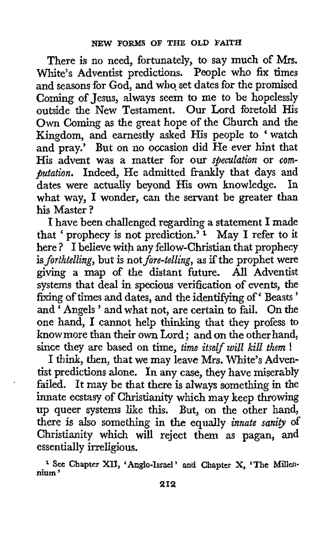There is no need, fortunately, to say much of **Mrs.**  White's Adventist predictions. People who **fix** times and seasons for God, and who set dates for the promised Coming **of** Jesus, always seem to me to be hopelessly outside the New Testament. Our Lord foretold His Own Coming as the great hope of the Church and the Kingdom, and earnestly asked His people to 'watch and pray.' But on **no** occasion did He ever hint that His advent was a matter for our speculation or *com*putation. Indeed, He admitted frankly that days and dates were actually beyond His **own** knowledge. In what way. I wonder, can the servant be greater than his Master ?

I have been challenged regarding a statement **I** made that ' prophecy is not prediction.' **1** May **I** refer to it here ? I believe with any fellow-Christian that prophecy is forthtelling, but is not fore-telling, as if the prophet were giving a map of the distant future. All Adventist systems that deal in specious verification **of** events, the fixing of times and dates, and the identifying of 'Beasts' and Angels' and what not, are certain to fail. On the one hand, **I** cannot help thinking that they profess to know more than their own Lord ; and on the other hand, since they are based on time, time itself will kill them !

I think, then, that we may leave Mrs. White's Adventist predictions alone. **In** any case, they have miserably failed. It may be that there is always something in the innate ecstasy of Christianity which may keep throwing up queer systems like this. But, on the other hand, there is also something in the equally *innate sanity* of Christianity which will reject them as pagan, and essentially irreligious.

<sup>1</sup> See Chapter XII, 'Anglo-Israel' and Chapter X, 'The Millen**nium** '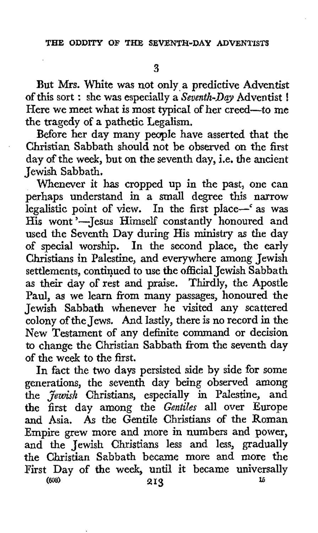But Mrs. White was not only a predictive Adventist *of* this sort : she was especially a *Seventh-Day* Adventist ! Here we meet what is most typical of her creed-to me *the* tragedy of a pathetic Legalism.

Before her day many peaple have asserted that the Christian Sabbath should not be observed on the first day of the week, but on the seventh day, i.e. the ancient Jewish Sabbath.

Whenever it has cropped up in the past, one can perhaps understand in a small degree this narrow legalistic point of view. In the first place-'as was His wont'-Jesus Himself constantly honoured and used the Seventh Day during His **ministry** as the day of special worship. In the second place, the early Christians in Palestine, and everywhere among Jewish settlements, continued to use the official Jewish Sabbath as their day **of** rest and praise. Thirdly, the Apostle Paul, as we learn from many passages, honoured the Jewish Sabbath whenever he visited any scattered colony of the Jews. And lastly, there is no record in the New Testament of any definite command or decision to change the Christian Sabbath from the seventh day *of* the week to the first.

In fact the two days persisted side by side **for** some generations, the seventh day being observed among the *Jewish* Christians, especially in Palestine, and the first day among the *Gentiles* all over Europe and Asia. **As** the Gentile Christians of the Roman Empire grew more and more in numbers and power, and the Jewish Christians less and less, gradually the Christian Sabbath became more and more the First Day of the week, until it became universally  $213$  is **<sup>16</sup>***(808)* **213**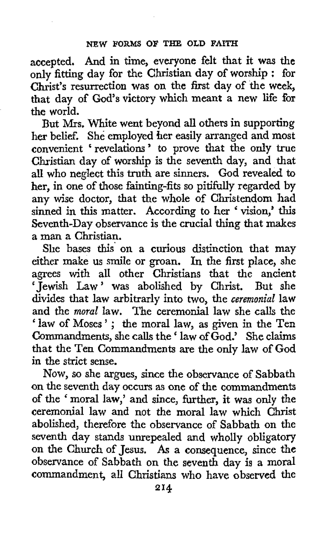accepted. And in time, everyone felt that it was the only fitting day for the Christian day of worship : for Christ's resurrection was on the first day of the week, that day of God's victory which meant a new life for the world.

But **Mrs,** White went beyond all others in supporting her belief. She employed her easily arranged and most convenient 'revelations' to prove that the only true Christian day of worship is the seventh day, and that all who neglect this **truth** are sinners. God revealed to her, in one of those fainting-fits so pitifully regarded by any wise doctor, that the whole of Christendom had sinned in this matter. According to her 'vision,' this Seventh-Day observance is the crucial thing that makes a man a Christian.

She bases this' on a curious distinction that may either make us smile or groan. In the first place, she agrees with all other Christians that the ancient 'Jewish Law' was abolished by Christ. But she divides that law arbitrarly into two, the *ceremonial* law and the *moral* law. The ceremonial law she calls the ' law of Moses'; the moral law, as given in the Ten Commandments, she calls the ' law of God.' She claims that the Ten Commandments are the only law **of** God in the strict sense.

**Now,** so she argues, since the observance of Sabbath on the seventh day occurs as one of the commandments of the ' moral law,' and since, further, it was only the ceremonial law and not the moral law which Christ abolished, therefore the observance of Sabbath on the seventh day stands unrepealed and wholly obligatory on the Church of Jesus. **As** a consequence, since the observance of Sabbath on the seventh day is a moral commandment, all Christians who have observed the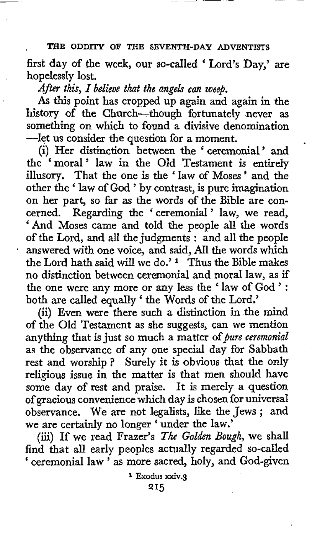first day of the week, our so-called ' Lord's Day,' are hopelessly lost.

*After thk, I believe that the angels can weep.* 

As this point has cropped up again and again in the history of the Church-though fortunately .never **as**  something on which to found a divisive denomination -let us consider the question for a moment.

(i) Her distinction between the 'ceremonial' and the 'moral' law in the Old Testament is entirely illusory. That the one is the ' law of Moses ' and the other the ' law of God ' by contrast, is pure imagination on her part, so far as the words of the Bible are concerned. Regarding the ' ceremonial ' law, we read, 'And Moses came and told the people all the words of the Lord, and all the judgments : and all the people - answered **with** one voice, and said, **All** the words which the Lord hath said will we do.' **1** Thus the Bible makes no distinction between ceremonial and moral law, as if the one were any more or any less the ' law of God ' : both are called equally ' the Words of the Lord.'

(ii) Even were there such a distinction in the mind of the Old Testament as she suggests, can we mention anything that is just so much a matter of *pure ceremonial* as the observance of any one special day for Sabbath rest and worship? Surely it is obvious that the only religious issue in the matter is that men should have some day of rest and praise. It is merely a question of gracious convenience which day is chosen for universal observance. We are not legalists, like the Jews ; and we are certainly no longer ' under the law.'

(iii) If we read Frazer's *The Golden Bough,* we shall find that all early peoples actually regarded so-called ' ceremonial law ' as more sacred, holy, and God-given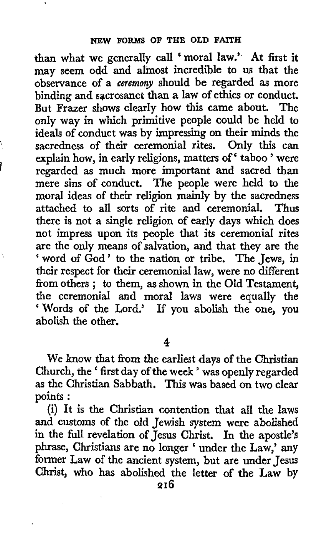**than** what we generally call 'moral law.' At first it may seem odd and almost incredible to us that the observance of a ceremony should be regarded **as** more binding and sacrosanct than a law of ethics or conduct. But Frazer shows clearly how this came about. The only way in which primitive people could be held to ideals of conduct was by impressing on their minds the sacredness of their ceremonial rites. Only this can explain how, in early religions, matters of' taboo ' were regarded as much more important and sacred than mere sins of conduct. The people were held to the moral ideas of their religion mainly by **the** sacredness attached to all sorts of rite and ceremonial. Thus there is not a single religion of early days which does not impress upon its people that its ceremonial rites are the only means of salvation, and that they are the ' word of God ' to the nation or tribe. The Jews, in their respect for their ceremonial law, were no different from others ; to them, **as** shown in **the** Old Testament, the ceremonial and moral laws were equally the ' Words of the Lord.' If you abolish the one, you abolish the other.

 $\mathbf{r}$ 

**4** 

We know that from the earliest days *of* the Christian Church, the ' first day of the week ' was openly regarded as the Christian Sabbath. This was based on two clear points :

(i) It is the Christian contention that all the laws and customs of the old Jewish system were abolished in the full revelation of Jesus Christ. In the apostle's phrase, Christians are no longer ' under the Law,' any former Law of the ancient system, but are under Jesus Christ, who has abolished the letter **of** the Law by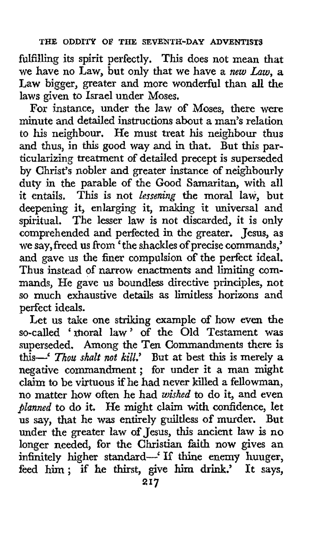fulfilling its spirit perfectly. This does not mean that we have no Law, but only that we have a *new Law,* **a**  Law bigger, greater and more wonderful than all the laws given to Israel under Moses.

For instance, under the law of Moses, there were minute and detailed instructions about a man's relation to his neighbour. He must treat his neighbour thus and thus, in this good way and in that. But this particularizing treatment of detailed precept is superseded by Christ's nobler and greater instance of neighbourly duty in the parable of the Good Samaritan, **with** all it entails, This is not *lessening* the moral law, but deepening it, enlarging it, making it universal and spiritual. The lesser law is not discarded, it is only comprehended and perfected in the greater. Jesus, as we say, freed us from 'the shackles of precise commands,' and gave us the finer compulsion of the perfect ideal. Thus instead of narrow enactments and limiting commands, He gave us boundless directive principles, not so much exhaustive details as limitless horizons and perfect ideals.

Let us take one striking example of how even the so-called 'moral law' of the Old Testament was superseded. Among the Ten Commandments there is this-' *Thou shalt not kill*.' But at best this is merely a negative commandment; for under it a man might claim to be virtuous if he had never killed a fellowman, no matter how often he had *wished* to do it, and even *planned* to do it. He might claim with confidence, let us say, that he was entirely guiltless of murder. But under the greater law of Jesus, this ancient law is no longer needed, for the Christian faith now gives an infinitely higher standard-' **If** thine enemy hunger, feed him; if he thirst, give him drink.' It says,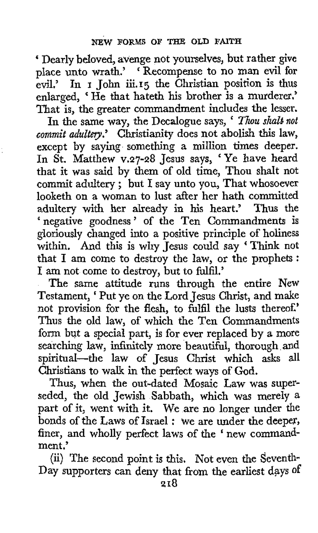' Dearly beloved, avenge not yourselves, but rather **give**  place unto wrath.' 'Recompense to no man evil for **evil.'** In **I** John **iii.15** the Christian position is **thus**  enlarged, 'He that hateth his brother is a murderer.' That is, the greater commandment includes the lesser.

In the same way, the Decalogue says, ' *Thou shald not commit adultery.'* Christianity does not abolish this law, except by saying something a million times deeper. In St. Matthew v.27-28 Jesus says, 'Ye have heard that it was said by them of old time, Thou shalt not commit adultery ; but I say unto you, That whosoever looketh on a woman to lust after her hath committed adultery with her already in his heart.' Thus the 'negative goodness' of the Ten Commandments is gloriously changed into a positive principle of holiness within. And this is why Jesus could say 'Think not whilm. And this is why jesus codid say Think hot that I am come to destroy the law, or the prophets : I am not come to destroy, but to fdfil.'

The same attitude runs through the entire New Testament, ' Put ye on the Lord Jesus Christ, and make not provision for the flesh, to fulfil the lusts thereof.' Thus the old law, of which the Ten Commandments form but a special part, is for ever replaced by **a** more searching law, infinitely more beautiful, thorough and spiritual-the law of Jesus Christ which asks **all**  Christians to walk in the perfect ways of God.

Thus, when the out-dated Mosaic Law was superseded, the old Jewish Sabbath, which was merely a part of it, went with it. We are no longer under the bonds of the Laws of Israel : we are under the deeper, finer, and wholly perfect laws of the ' new commandment.'

(ii) The second point is this. Not even the Seventh-Day supporters can deny that from the earliest days of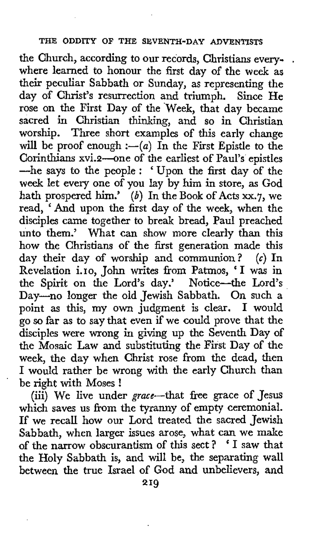the Church, according to our records, Christians every- . where learned to honour the first day of the week as their peculiar Sabbath or Sunday, as representing the day of Christ's resurrection and triumph. Since He rose on the First Day of the Week, that day became sacred *in* Christian thinking, and so in Christian worship. Three short examples of this early change will be proof enough  $:-(a)$  In the First Epistle to the Corinthians xvi.2-one of the earliest of Paul's epistles -he says to the people : 'Upon the first day of the week let every one of you lay by him in store, **as** God hath prospered him.' *(b)* In the **Book** of Acts *xx.7,* we read, ' And upon the first day of the week, when the disciples came together to break bread, Paul preached unto them.' What can show more clearly than this how the Christians of the first generation made this day their day of worship and communion? **(c)** In Revelation i.10, John writes from Patmos, ' I was in the Spirit on the Lord's day.' Notice--the Lord's Day-no longer the old Jewish Sabbath. On such a point as this, **my** own judgment is clear. **I** would *go* so far as to say that even if we could prove that the disciples were wrong in giving up the Seventh Day of the Mosaic Law and substituting the First Day of the week, the day when Christ rose from the dead, then I would rather be wrong with the early Church than be right with Moses !

(iii) We live under grace--that free grace of Jesus which saves us from the tyranny of empty ceremonial. If we recall how our Lord treated the sacred Jewish Sabbath, when larger issues arose, what can we make of the narrow obscurantism of this sect ? ' I saw that the Holy Sabbath is, and will be, the separating wall between the true Israel of God and unbelievers, and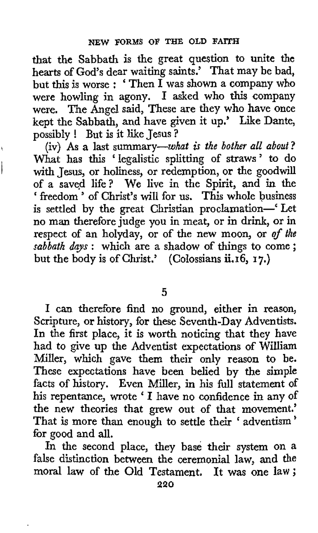that the Sabbath is the great question to unite the hearts of God's dear waiting saints.' That may be bad, but this is worse : 'Then  $\overline{I}$  was shown a company who were howling in agony. **I** asked who this company were. The Angel said, These are they who have once kept the Sabbath, and have given it up.' Like Dante, possibly ! But is it like Jesus ?

 $\mathbf{L}$ 

(iv) As a last summary-what **is** *the bother all about?*  What has this 'legalistic splitting of straws' to do with Jesus, or holiness, or redemption, or the goodwill of a saved life? We live in the Spirit, and in the ' freedom ' of Christ's will for us. This whole business is settled by the great Christian proclamation-' Let no man thereforejudge you in meat, or in drink, or in respect of an holyday, or of the new moon, or *of the sabbath dgs* : which are a shadow of things to come ; but the body is of Christ.' (Colossians **ii.16,** 17.)

**5** 

**I** can therefore find no ground, either in reason, Scripture, or history, for these Seventh-Day Adventists. In the first place, it is worth noticing that they have had to give up the Adventist expectations of William Miller, which gave them their only reason to be. These expectations have been belied by the simple facts of history. Even Miller, in his full statement of his repentance, wrote ' **I** have no confidence in any of the new theories that grew out of that movement.' That is more than enough to settle their ' adventism ' for good and all.

In the second place, they base their system on a false distinction between the ceremonial law, and the moral law of the Old Testament. It was one **law;**